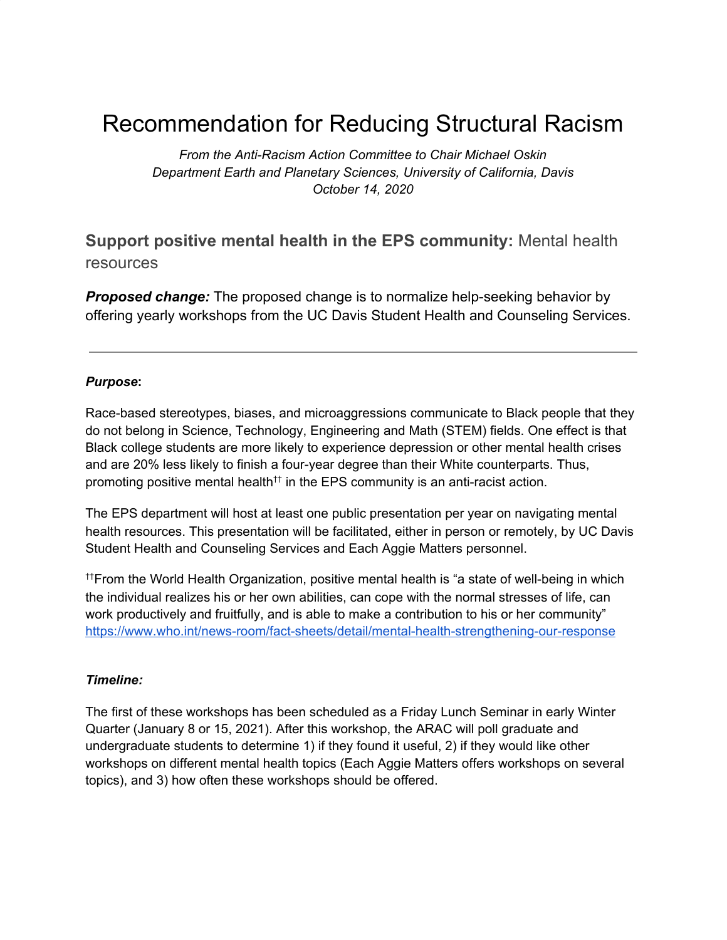# Recommendation for Reducing Structural Racism

*From the Anti-Racism Action Committee to Chair Michael Oskin Department Earth and Planetary Sciences, University of California, Davis October 14, 2020*

# **Support positive mental health in the EPS community:** Mental health resources

*Proposed change:* The proposed change is to normalize help-seeking behavior by offering yearly workshops from the UC Davis Student Health and Counseling Services.

#### *Purpose***:**

Race-based stereotypes, biases, and microaggressions communicate to Black people that they do not belong in Science, Technology, Engineering and Math (STEM) fields. One effect is that Black college students are more likely to experience depression or other mental health crises and are 20% less likely to finish a four-year degree than their White counterparts. Thus, promoting positive mental health<sup>††</sup> in the EPS community is an anti-racist action.

The EPS department will host at least one public presentation per year on navigating mental health resources. This presentation will be facilitated, either in person or remotely, by UC Davis Student Health and Counseling Services and Each Aggie Matters personnel.

††From the World Health Organization, positive mental health is "a state of well-being in which the individual realizes his or her own abilities, can cope with the normal stresses of life, can work productively and fruitfully, and is able to make a contribution to his or her community" <https://www.who.int/news-room/fact-sheets/detail/mental-health-strengthening-our-response>

#### *Timeline:*

The first of these workshops has been scheduled as a Friday Lunch Seminar in early Winter Quarter (January 8 or 15, 2021). After this workshop, the ARAC will poll graduate and undergraduate students to determine 1) if they found it useful, 2) if they would like other workshops on different mental health topics (Each Aggie Matters offers workshops on several topics), and 3) how often these workshops should be offered.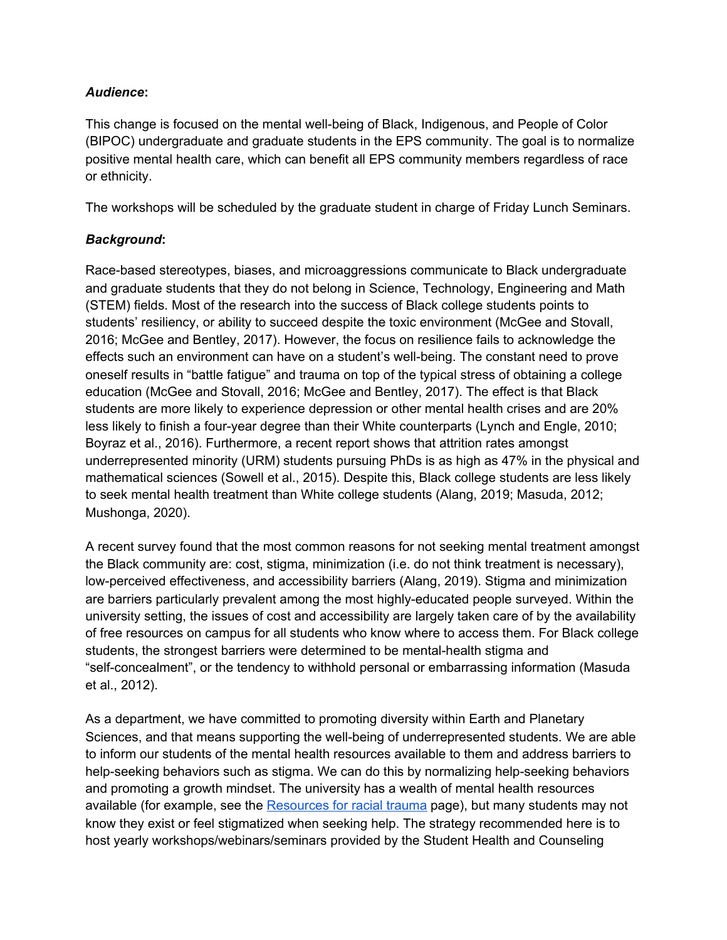## *Audience***:**

This change is focused on the mental well-being of Black, Indigenous, and People of Color (BIPOC) undergraduate and graduate students in the EPS community. The goal is to normalize positive mental health care, which can benefit all EPS community members regardless of race or ethnicity.

The workshops will be scheduled by the graduate student in charge of Friday Lunch Seminars.

# *Background***:**

Race-based stereotypes, biases, and microaggressions communicate to Black undergraduate and graduate students that they do not belong in Science, Technology, Engineering and Math (STEM) fields. Most of the research into the success of Black college students points to students' resiliency, or ability to succeed despite the toxic environment (McGee and Stovall, 2016; McGee and Bentley, 2017). However, the focus on resilience fails to acknowledge the effects such an environment can have on a student's well-being. The constant need to prove oneself results in "battle fatigue" and trauma on top of the typical stress of obtaining a college education (McGee and Stovall, 2016; McGee and Bentley, 2017). The effect is that Black students are more likely to experience depression or other mental health crises and are 20% less likely to finish a four-year degree than their White counterparts (Lynch and Engle, 2010; Boyraz et al., 2016). Furthermore, a recent report shows that attrition rates amongst underrepresented minority (URM) students pursuing PhDs is as high as 47% in the physical and mathematical sciences (Sowell et al., 2015). Despite this, Black college students are less likely to seek mental health treatment than White college students (Alang, 2019; Masuda, 2012; Mushonga, 2020).

A recent survey found that the most common reasons for not seeking mental treatment amongst the Black community are: cost, stigma, minimization (i.e. do not think treatment is necessary), low-perceived effectiveness, and accessibility barriers (Alang, 2019). Stigma and minimization are barriers particularly prevalent among the most highly-educated people surveyed. Within the university setting, the issues of cost and accessibility are largely taken care of by the availability of free resources on campus for all students who know where to access them. For Black college students, the strongest barriers were determined to be mental-health stigma and "self-concealment", or the tendency to withhold personal or embarrassing information (Masuda et al., 2012).

As a department, we have committed to promoting diversity within Earth and Planetary Sciences, and that means supporting the well-being of underrepresented students. We are able to inform our students of the mental health resources available to them and address barriers to help-seeking behaviors such as stigma. We can do this by normalizing help-seeking behaviors and promoting a growth mindset. The university has a wealth of mental health resources available (for example, see the [Resources](https://diversity.ucdavis.edu/resources-racial-trauma) for racial trauma page), but many students may not know they exist or feel stigmatized when seeking help. The strategy recommended here is to host yearly workshops/webinars/seminars provided by the Student Health and Counseling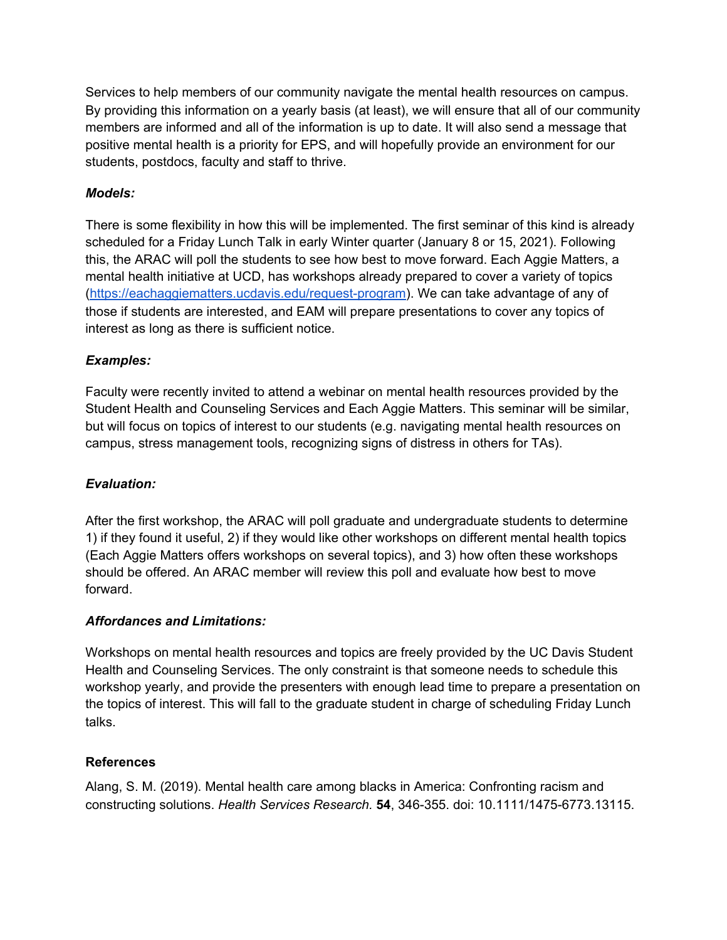Services to help members of our community navigate the mental health resources on campus. By providing this information on a yearly basis (at least), we will ensure that all of our community members are informed and all of the information is up to date. It will also send a message that positive mental health is a priority for EPS, and will hopefully provide an environment for our students, postdocs, faculty and staff to thrive.

# *Models:*

There is some flexibility in how this will be implemented. The first seminar of this kind is already scheduled for a Friday Lunch Talk in early Winter quarter (January 8 or 15, 2021). Following this, the ARAC will poll the students to see how best to move forward. Each Aggie Matters, a mental health initiative at UCD, has workshops already prepared to cover a variety of topics (<https://eachaggiematters.ucdavis.edu/request-program>). We can take advantage of any of those if students are interested, and EAM will prepare presentations to cover any topics of interest as long as there is sufficient notice.

# *Examples:*

Faculty were recently invited to attend a webinar on mental health resources provided by the Student Health and Counseling Services and Each Aggie Matters. This seminar will be similar, but will focus on topics of interest to our students (e.g. navigating mental health resources on campus, stress management tools, recognizing signs of distress in others for TAs).

# *Evaluation:*

After the first workshop, the ARAC will poll graduate and undergraduate students to determine 1) if they found it useful, 2) if they would like other workshops on different mental health topics (Each Aggie Matters offers workshops on several topics), and 3) how often these workshops should be offered. An ARAC member will review this poll and evaluate how best to move forward.

# *Affordances and Limitations:*

Workshops on mental health resources and topics are freely provided by the UC Davis Student Health and Counseling Services. The only constraint is that someone needs to schedule this workshop yearly, and provide the presenters with enough lead time to prepare a presentation on the topics of interest. This will fall to the graduate student in charge of scheduling Friday Lunch talks.

# **References**

Alang, S. M. (2019). Mental health care among blacks in America: Confronting racism and constructing solutions. *Health Services Research.* **54**, 346-355. doi: 10.1111/1475-6773.13115.